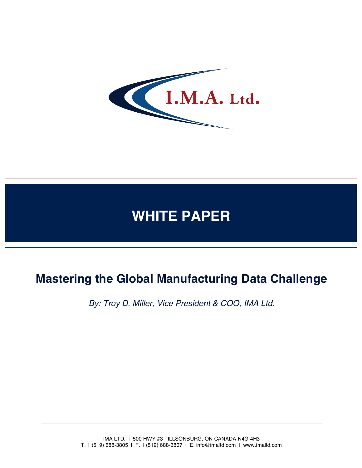

# **WHITE PAPER**

## **Mastering the Global Manufacturing Data Challenge**

*By: Troy D. Miller, Vice President & COO, IMA Ltd.*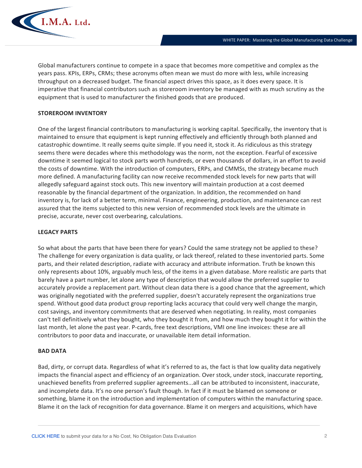

Global manufacturers continue to compete in a space that becomes more competitive and complex as the years pass. KPIs, ERPs, CRMs; these acronyms often mean we must do more with less, while increasing throughput on a decreased budget. The financial aspect drives this space, as it does every space. It is imperative that financial contributors such as storeroom inventory be managed with as much scrutiny as the equipment that is used to manufacturer the finished goods that are produced.

### **STOREROOM INVENTORY**

One of the largest financial contributors to manufacturing is working capital. Specifically, the inventory that is maintained to ensure that equipment is kept running effectively and efficiently through both planned and catastrophic downtime. It really seems quite simple. If you need it, stock it. As ridiculous as this strategy seems there were decades where this methodology was the norm, not the exception. Fearful of excessive downtime it seemed logical to stock parts worth hundreds, or even thousands of dollars, in an effort to avoid the costs of downtime. With the introduction of computers, ERPs, and CMMSs, the strategy became much more defined. A manufacturing facility can now receive recommended stock levels for new parts that will allegedly safeguard against stock outs. This new inventory will maintain production at a cost deemed reasonable by the financial department of the organization. In addition, the recommended on hand inventory is, for lack of a better term, minimal. Finance, engineering, production, and maintenance can rest assured that the items subjected to this new version of recommended stock levels are the ultimate in precise, accurate, never cost overbearing, calculations.

### **LEGACY PARTS**

So what about the parts that have been there for years? Could the same strategy not be applied to these? The challenge for every organization is data quality, or lack thereof, related to these inventoried parts. Some parts, and their related description, radiate with accuracy and attribute information. Truth be known this only represents about 10%, arguably much less, of the items in a given database. More realistic are parts that barely have a part number, let alone any type of description that would allow the preferred supplier to accurately provide a replacement part. Without clean data there is a good chance that the agreement, which was originally negotiated with the preferred supplier, doesn't accurately represent the organizations true spend. Without good data product group reporting lacks accuracy that could very well change the margin, cost savings, and inventory commitments that are deserved when negotiating. In reality, most companies can't tell definitively what they bought, who they bought it from, and how much they bought it for within the last month, let alone the past year. P-cards, free text descriptions, VMI one line invoices: these are all contributors to poor data and inaccurate, or unavailable item detail information.

#### **BAD DATA**

Bad, dirty, or corrupt data. Regardless of what it's referred to as, the fact is that low quality data negatively impacts the financial aspect and efficiency of an organization. Over stock, under stock, inaccurate reporting, unachieved benefits from preferred supplier agreements...all can be attributed to inconsistent, inaccurate, and incomplete data. It's no one person's fault though. In fact if it must be blamed on someone or something, blame it on the introduction and implementation of computers within the manufacturing space. Blame it on the lack of recognition for data governance. Blame it on mergers and acquisitions, which have